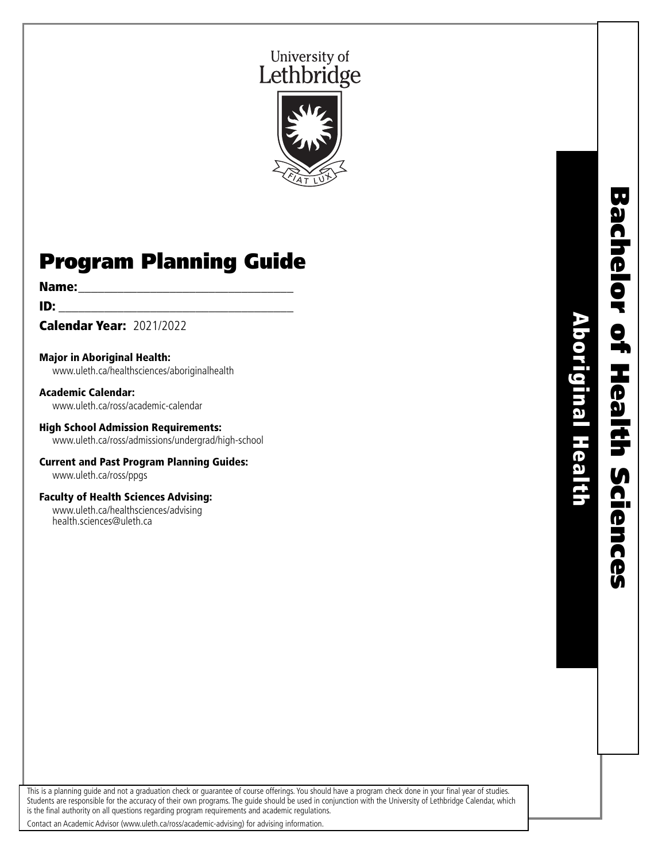# University of Lethbridge



# Program Planning Guide

**Name:** <u>\_\_\_\_\_\_\_\_\_\_\_\_\_\_\_\_\_\_\_\_\_\_\_\_\_\_</u>

 $ID:$ 

Calendar Year: 2021/2022

Major in Aboriginal Health: www.uleth.ca/healthsciences/aboriginalhealth

Academic Calendar: www.uleth.ca/ross/academic-calendar

High School Admission Requirements: www.uleth.ca/ross/admissions/undergrad/high-school

Current and Past Program Planning Guides: www.uleth.ca/ross/ppgs

Faculty of Health Sciences Advising: www.uleth.ca/healthsciences/advising health.sciences@uleth.ca

**Bachelor of Health Sciences** Bachelor of Health Sciences **Aboriginal Health** Aboriginal Health

This is a planning guide and not a graduation check or guarantee of course offerings. You should have a program check done in your final year of studies. Students are responsible for the accuracy of their own programs. The guide should be used in conjunction with the University of Lethbridge Calendar, which is the final authority on all questions regarding program requirements and academic regulations.

Contact an Academic Advisor (www.uleth.ca/ross/academic-advising) for advising information.